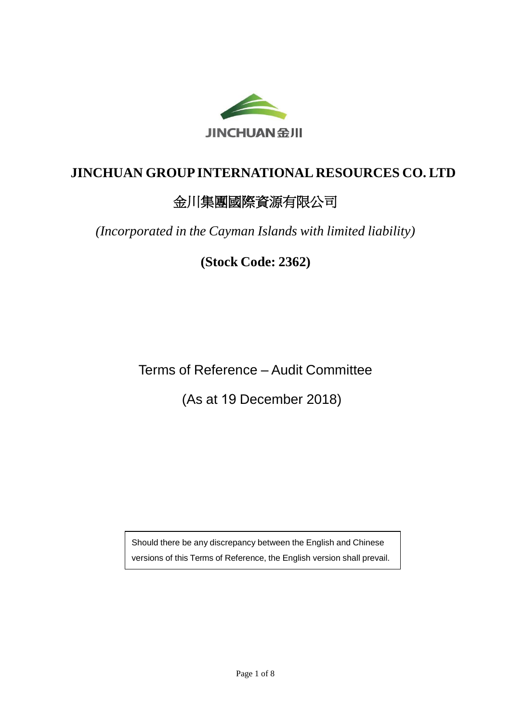

# **JINCHUAN GROUPINTERNATIONAL RESOURCES CO. LTD**

# 金川集團國際資源有限公司

*(Incorporated in the Cayman Islands with limited liability)*

**(Stock Code: 2362)**

Terms of Reference – Audit Committee

(As at 19 December 2018)

Should there be any discrepancy between the English and Chinese versions of this Terms of Reference, the English version shall prevail.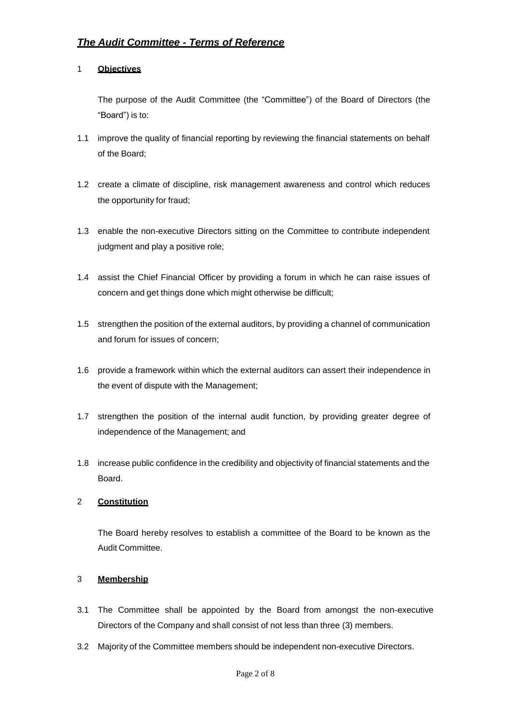### 1 **Objectives**

The purpose of the Audit Committee (the "Committee") of the Board of Directors (the "Board") is to:

- 1.1 improve the quality of financial reporting by reviewing the financial statements on behalf of the Board;
- 1.2 create a climate of discipline, risk management awareness and control which reduces the opportunity for fraud;
- 1.3 enable the non-executive Directors sitting on the Committee to contribute independent judgment and play a positive role;
- 1.4 assist the Chief Financial Officer by providing a forum in which he can raise issues of concern and get things done which might otherwise be difficult;
- 1.5 strengthen the position of the external auditors, by providing a channel of communication and forum for issues of concern;
- 1.6 provide a framework within which the external auditors can assert their independence in the event of dispute with the Management;
- 1.7 strengthen the position of the internal audit function, by providing greater degree of independence of the Management; and
- 1.8 increase public confidence in the credibility and objectivity of financial statements and the Board.

## 2 **Constitution**

The Board hereby resolves to establish a committee of the Board to be known as the Audit Committee.

### 3 **Membership**

- 3.1 The Committee shall be appointed by the Board from amongst the non-executive Directors of the Company and shall consist of not less than three (3) members.
- 3.2 Majority of the Committee members should be independent non-executive Directors.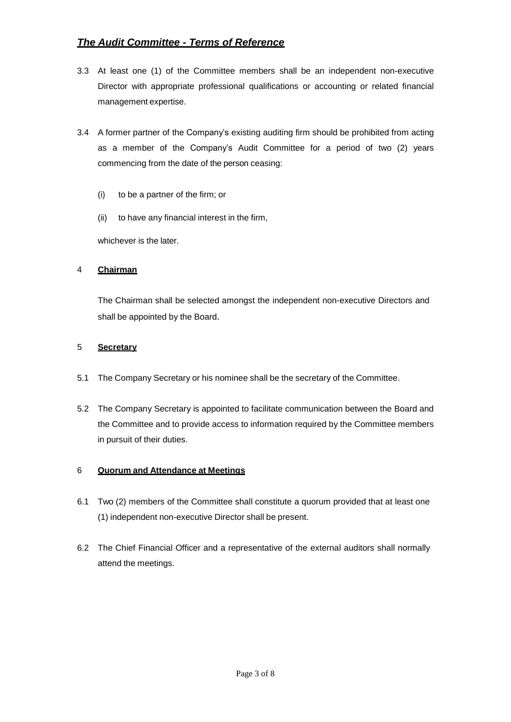- 3.3 At least one (1) of the Committee members shall be an independent non-executive Director with appropriate professional qualifications or accounting or related financial management expertise.
- 3.4 A former partner of the Company's existing auditing firm should be prohibited from acting as a member of the Company's Audit Committee for a period of two (2) years commencing from the date of the person ceasing:
	- (i) to be a partner of the firm; or
	- (ii) to have any financial interest in the firm,

whichever is the later.

## 4 **Chairman**

The Chairman shall be selected amongst the independent non-executive Directors and shall be appointed by the Board.

#### 5 **Secretary**

- 5.1 The Company Secretary or his nominee shall be the secretary of the Committee.
- 5.2 The Company Secretary is appointed to facilitate communication between the Board and the Committee and to provide access to information required by the Committee members in pursuit of their duties.

#### 6 **Quorum and Attendance at Meetings**

- 6.1 Two (2) members of the Committee shall constitute a quorum provided that at least one (1) independent non-executive Director shall be present.
- 6.2 The Chief Financial Officer and a representative of the external auditors shall normally attend the meetings.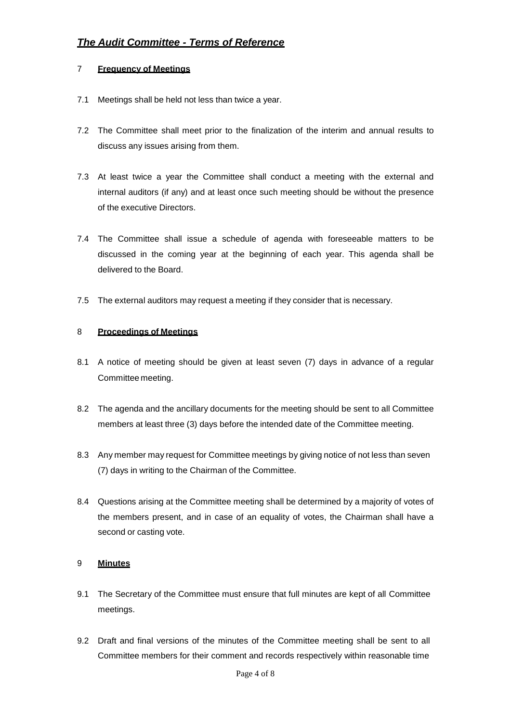### 7 **Frequency of Meetings**

- 7.1 Meetings shall be held not less than twice a year.
- 7.2 The Committee shall meet prior to the finalization of the interim and annual results to discuss any issues arising from them.
- 7.3 At least twice a year the Committee shall conduct a meeting with the external and internal auditors (if any) and at least once such meeting should be without the presence of the executive Directors.
- 7.4 The Committee shall issue a schedule of agenda with foreseeable matters to be discussed in the coming year at the beginning of each year. This agenda shall be delivered to the Board.
- 7.5 The external auditors may request a meeting if they consider that is necessary.

#### 8 **Proceedings of Meetings**

- 8.1 A notice of meeting should be given at least seven (7) days in advance of a regular Committee meeting.
- 8.2 The agenda and the ancillary documents for the meeting should be sent to all Committee members at least three (3) days before the intended date of the Committee meeting.
- 8.3 Any member may request for Committee meetings by giving notice of not less than seven (7) days in writing to the Chairman of the Committee.
- 8.4 Questions arising at the Committee meeting shall be determined by a majority of votes of the members present, and in case of an equality of votes, the Chairman shall have a second or casting vote.

## 9 **Minutes**

- 9.1 The Secretary of the Committee must ensure that full minutes are kept of all Committee meetings.
- 9.2 Draft and final versions of the minutes of the Committee meeting shall be sent to all Committee members for their comment and records respectively within reasonable time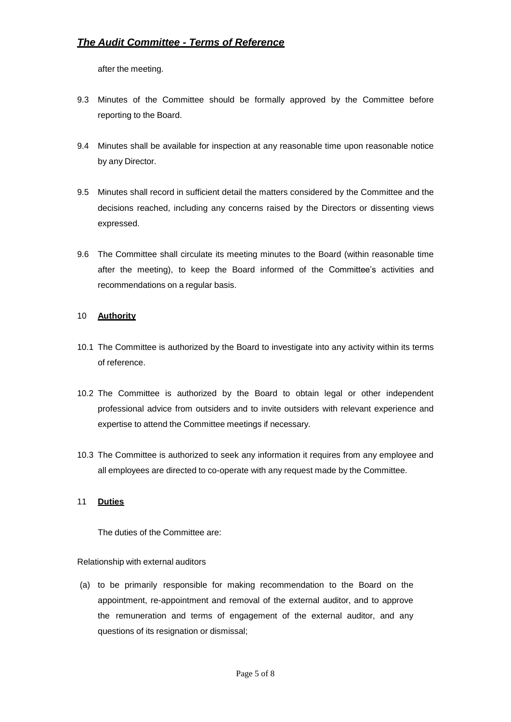after the meeting.

- 9.3 Minutes of the Committee should be formally approved by the Committee before reporting to the Board.
- 9.4 Minutes shall be available for inspection at any reasonable time upon reasonable notice by any Director.
- 9.5 Minutes shall record in sufficient detail the matters considered by the Committee and the decisions reached, including any concerns raised by the Directors or dissenting views expressed.
- 9.6 The Committee shall circulate its meeting minutes to the Board (within reasonable time after the meeting), to keep the Board informed of the Committee's activities and recommendations on a regular basis.

#### 10 **Authority**

- 10.1 The Committee is authorized by the Board to investigate into any activity within its terms of reference.
- 10.2 The Committee is authorized by the Board to obtain legal or other independent professional advice from outsiders and to invite outsiders with relevant experience and expertise to attend the Committee meetings if necessary.
- 10.3 The Committee is authorized to seek any information it requires from any employee and all employees are directed to co-operate with any request made by the Committee.

## 11 **Duties**

The duties of the Committee are:

#### Relationship with external auditors

(a) to be primarily responsible for making recommendation to the Board on the appointment, re-appointment and removal of the external auditor, and to approve the remuneration and terms of engagement of the external auditor, and any questions of its resignation or dismissal;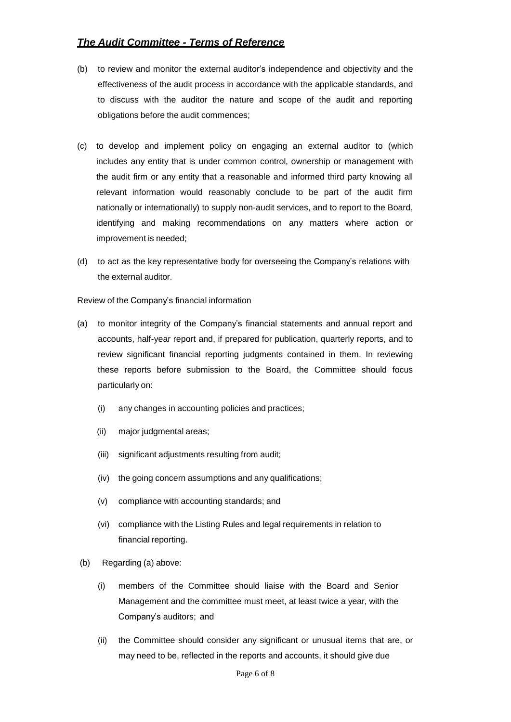- (b) to review and monitor the external auditor's independence and objectivity and the effectiveness of the audit process in accordance with the applicable standards, and to discuss with the auditor the nature and scope of the audit and reporting obligations before the audit commences;
- (c) to develop and implement policy on engaging an external auditor to (which includes any entity that is under common control, ownership or management with the audit firm or any entity that a reasonable and informed third party knowing all relevant information would reasonably conclude to be part of the audit firm nationally or internationally) to supply non-audit services, and to report to the Board, identifying and making recommendations on any matters where action or improvement is needed;
- (d) to act as the key representative body for overseeing the Company's relations with the external auditor.

Review of the Company's financial information

- (a) to monitor integrity of the Company's financial statements and annual report and accounts, half-year report and, if prepared for publication, quarterly reports, and to review significant financial reporting judgments contained in them. In reviewing these reports before submission to the Board, the Committee should focus particularly on:
	- (i) any changes in accounting policies and practices;
	- (ii) major judgmental areas;
	- (iii) significant adjustments resulting from audit;
	- (iv) the going concern assumptions and any qualifications;
	- (v) compliance with accounting standards; and
	- (vi) compliance with the Listing Rules and legal requirements in relation to financial reporting.
- (b) Regarding (a) above:
	- (i) members of the Committee should liaise with the Board and Senior Management and the committee must meet, at least twice a year, with the Company's auditors; and
	- (ii) the Committee should consider any significant or unusual items that are, or may need to be, reflected in the reports and accounts, it should give due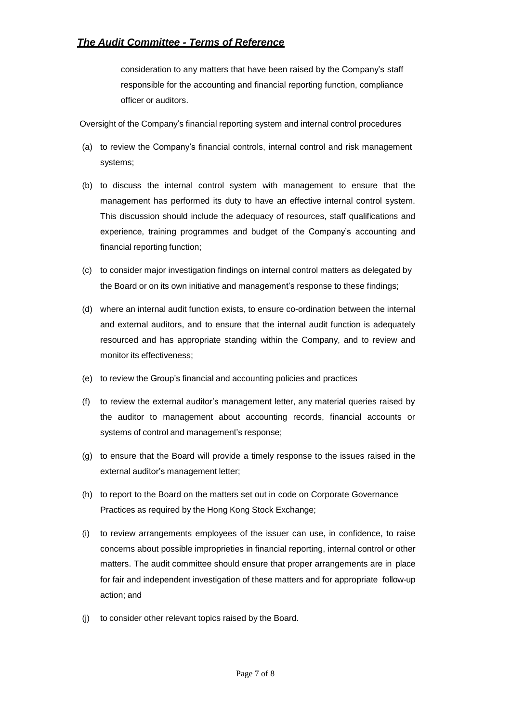consideration to any matters that have been raised by the Company's staff responsible for the accounting and financial reporting function, compliance officer or auditors.

Oversight of the Company's financial reporting system and internal control procedures

- (a) to review the Company's financial controls, internal control and risk management systems;
- (b) to discuss the internal control system with management to ensure that the management has performed its duty to have an effective internal control system. This discussion should include the adequacy of resources, staff qualifications and experience, training programmes and budget of the Company's accounting and financial reporting function;
- (c) to consider major investigation findings on internal control matters as delegated by the Board or on its own initiative and management's response to these findings;
- (d) where an internal audit function exists, to ensure co-ordination between the internal and external auditors, and to ensure that the internal audit function is adequately resourced and has appropriate standing within the Company, and to review and monitor its effectiveness;
- (e) to review the Group's financial and accounting policies and practices
- (f) to review the external auditor's management letter, any material queries raised by the auditor to management about accounting records, financial accounts or systems of control and management's response;
- (g) to ensure that the Board will provide a timely response to the issues raised in the external auditor's management letter;
- (h) to report to the Board on the matters set out in code on Corporate Governance Practices as required by the Hong Kong Stock Exchange;
- (i) to review arrangements employees of the issuer can use, in confidence, to raise concerns about possible improprieties in financial reporting, internal control or other matters. The audit committee should ensure that proper arrangements are in place for fair and independent investigation of these matters and for appropriate follow-up action; and
- (j) to consider other relevant topics raised by the Board.